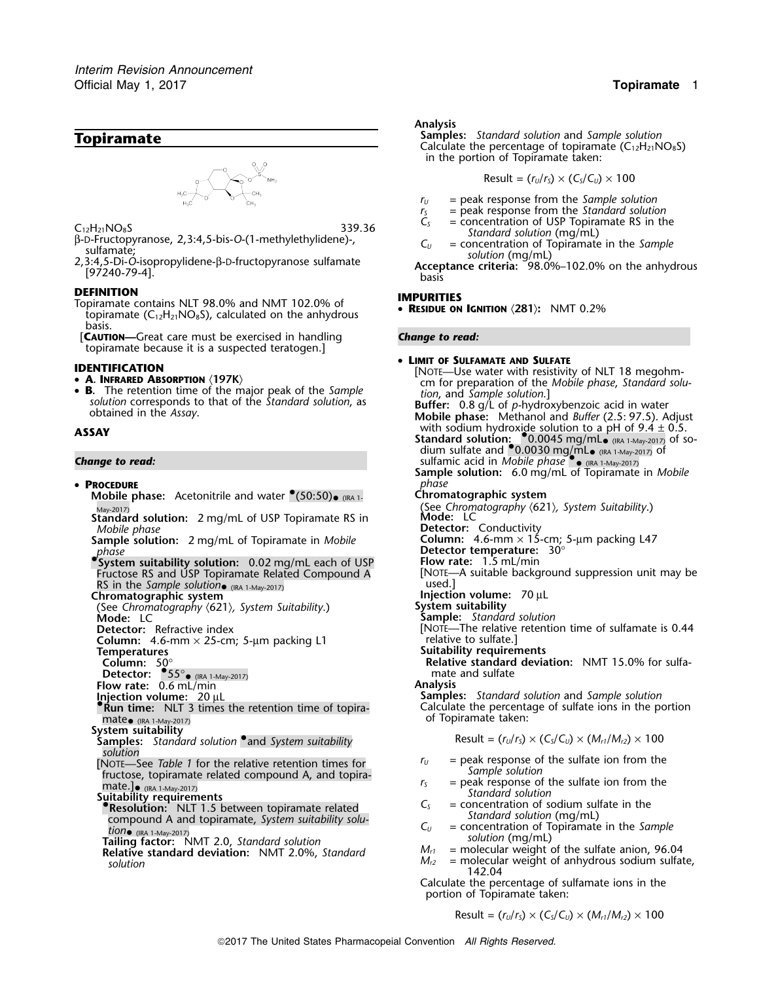

- 
- *<sup>C</sup><sup>S</sup>* = concentration of USP Topiramate RS in the <sup>C</sup>12H21NO8<sup>S</sup> 339.36 *Standard solution* (mg/mL) <sup>β</sup>-<sup>D</sup>-Fructopyranose, 2,3:4,5-bis-*O*-(1-methylethylidene)-, *<sup>C</sup><sup>U</sup>* = concentration of Topiramate in the *Sample* sulfamate; *solution* (mg/mL) 2,3:4,5-Di-*O*-isopropylidene-β-<sup>D</sup>-fructopyranose sulfamate **Acceptance criteria:** 98.0%–102.0% on the anhydrous [97240-79-4]. basis
- 

- **DEFINITION**<br> **IMPURITIES**<br> **IMPURITIES IMPURITIES IMPORTIES IMPORTIES PRESIDUE ON IGNITION** (281): NMT 0.2%  $k$  **EXIDE K**<sup>2</sup> **EXECUTE C**<sub>12</sub>H<sub>21</sub>NO<sub>8</sub>S), calculated on the anhydrous basis.
- [**CAUTION—**Great care must be exercised in handling *Change to read:* topiramate because it is a suspected teratogen.]

- 
- 

## • **PROCEDURE** *phase*

**Mobile phase:** Acetonitrile and water  $\bullet$  (50:50) $\bullet$  (IRA 1.

- **Standard solution:** 2 mg/mL of USP Topiramate RS in *Mobile phase*
- **Sample solution:** 2 mg/mL of Topiramate in *Mobile* **Column:** 4.6-mm × 15-cm; 50°<br>phase **Detector temperature:** 30°
- RS in the *Sample solution* a (IRA 1-May-2017) **Fig. 1.** The same stated.] **Chromatographic system**<br>
(See Chromatography (621), System Suitability.) **Injection volume:** 70 µL<br>
System suitability (See Chromatography  $\langle 621 \rangle$ , System Suitability.) **Mode:** LC **Mode:** LC **Sample:** *Sample: Standard solution*<br> **Detector:** Refractive index **Sample:** *Standard solution*<br>
[NOTE—The relative retentic
- **Column:** 4.6-mm × 25-cm; 5-µm packing L1 relative to sulfate.]<br>**Temperatures COLUTE: COLUTE:** Suitability requirer
- 
- 
- 
- 
- $\frac{1}{2017}$  of Topiramate taken:
- (IRA 1-May-2017) **System suitability**
- *solution*
- 
- Suitability requirements<br>**PResolution:** NLT 1.5 between topiramate related 6.
- **•Resolution:** NLT 1.5 between topiramate related
- 
- Analysis<br>Samples: Standard solution and Sample solution
- **Topiramate**<br>Calculate the percentage of topiramate (C<sub>12</sub>H<sub>21</sub>NO<sub>8</sub>S) in the portion of Topiramate taken:

$$
Result = (r_U/r_S) \times (C_S/C_U) \times 100
$$

- *<sup>r</sup><sup>U</sup>* = peak response from the *Sample solution*
- $r_s$  = peak response from the *Standard solution*<br> $C_s$  = concentration of USP Topiramate RS in the
- 
- 
- 

• LIMIT OF SULFAMATE AND SULFATE **IDENTIFICATION**<br>• **A. INFRARED ABSORPTION** (197K) **CONSIDERED ABSORPTION** (197K) **CONSIDERATE CONSIDERATE CONSIDERATE CONSIDERATE A.** INFRARED ABSORPTION (197K)<br> **• B.** The retention time of the major peak of the *Sample* impact of *tion*, and *Sample solution*.] solution corresponds to that of the *Standard solution*, as<br>obtained in the Assay.<br>**Mobile phase:** Methanol and *Buffer* (2.5: 97.5). Adjust **ASSAY**<br>
With sodium hydroxide solution to a pH of  $9.4 \pm 0.5$ .<br>
Standard solution:  $\degree 0.0045 \text{ mg/mL}$  (IRA 1-May-2017) of so-<br>
Change to read:<br>
Change to read:<br>
Change to read:<br>
Sample solution: 6.0 mg/mL of Topiramate in Chromatographic system (See Chromatography *(621), System Suitability.*)<br>Mode: LC **Detector:** Conductivity<br>**Column:** 4.6-mm × 15-cm; 5-µm packing L47 *<sup>p</sup>hase* **Detector temperature:** 30° **•.System suitability solution:** 0.02 mg/mL each of USP **Flow rate:** 1.5 mL/min Fructose RS and USP Topiramate Related Compound A [NOTE—A suitable background suppression unit may be<br>RS in the Sample solution (RA 1-May-2017) used.] [NOTE—The relative retention time of sulfamate is 0.44 **Suitability requirements Relative standard deviation:** NMT 15.0% for sulfa-**Detector:** •55° mate and sulfate • (IRA 1-May-2017) **Flow rate:** 0.6 mL/min **Analysis Analysis Injection volume:** 20 µL **Samples:** Standard solution and Sample solution<br>**\*Run time:** NLT 3 times the retention time of topira- Calculate the percentage of sulfate ions in the portion **Samples:** *Standard solution* • and *System suitability* Result =  $(r_u/r_s) \times (C_s/C_u) \times (M_{r1}/M_{r2}) \times 100$ **F**IUCTE—See *Table 1* for the relative retention times for  $\frac{r_U}{r_S} = \frac{5}{2}$  peak response of the sulfate ion from the *Sample solution*<br>  $\frac{r_U}{r_S} = \frac{5}{2}$  peak response of the sulfate ion from the *Sample solution*<br> = peak response of the sulfate ion from the *Standard solution* = concentration of sodium sulfate in the<br>Standard solution (mg/mL) compound A and topiramate, *System suitability solu*<br>tion<sub>o (IRA 1-May-2017)<br>alling factor: NIMT 2.0, Standard solution<br>alling factor: NIMT 2.0, Standard solution</sub> tion• (RA 1-May-2017)<br> **Tailing factor:** NMT 2.0, Standard solution<br>
Relative standard deviation: NMT 2.0%, Standard<br>
solution<br>
solution<br>  $M_{r2}$  = molecular weight of anhydrous sodium sulfate,<br>
solution<br>
142.04<br>
142.04

Calculate the percentage of sulfamate ions in the portion of Topiramate taken:

$$
Result = (rU/rS) \times (CS/CU) \times (Mr1/Mr2) \times 100
$$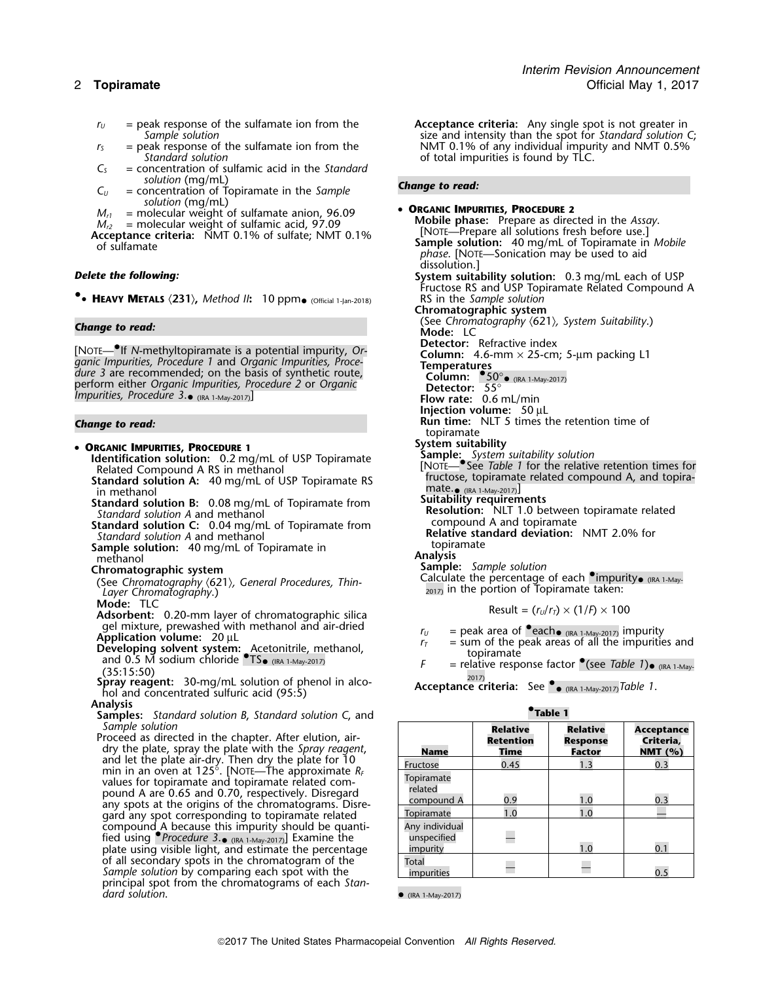- 
- 
- *C<sup>S</sup>* = concentration of sulfamic acid in the *Standard*
- *solution* (mg/mL) *C<sub><i>U*</sub> = concentration of Topiramate in the *Sample* **Change to read:** *solution* (mg/mL)
- 
- 

Acceptance criteria. **INOTE:** 1986 between the solutions frequence users of sulfamate in *Mobile*<br>of sulfamate

**.**• **HEAVY METALS** 〈**231**〉**,** *Method II***:** 10 ppm•

[NOTE—<sup>®</sup>If N-methyltopiramate is a potential impurity, Or-<br>
ganic Impurities, Procedure 1 and Organic Impurities, Proce-<br>
dure 3 are recommended; on the basis of synthetic route,<br>
perform either Organic Impurities, Proce Perform either *Organic Impurities, Procedure 2* or *Organic* **Column: Detector:** 55° *Impurities, Procedure 2. or Organic* **Detector:** 55° *Impurities, Procedure 3.* **•** (IRA 1-May-2017)] Impurities, Procedure  $3.\bullet$  (IRA 1-May-2017)

- -
	-
	-
	-
	-

See *Chromatography (621), General Procedures, Thin-*<br>*Layer Chromatography.*) *Layer Chromatography.*) *Layer Chromatography.* 

**Mode:** TLC<br>**Adsorbent:** 0.20-mm layer of chromatographic silica gel mixture, prewashed with methanol and air-dried  $r_U =$  peak area of  $\bullet$  each  $\bullet$  ((RA 1-May-2017) impurity<br>Application volume: 20 µL<br>Developing solvent system: Acetonitrile methanol  $r_T =$  sum of the peak areas of all

**Developing solvent system:** Acetonitrile, methanol,<br>and 0.5 M sodium chloride  $\bullet$  TS ((RA 1-May-2017) F = relative response to the primarile  $\bullet$  TS ((RA 1-May-2017) F = relative response

(IRA 15:50) 2017) Spray reagent: 30-mg/mL solution of phenol in alco-<br>
hol and concentrated sulfuric acid (95:5) **Acceptance criteria:** Acceptance criteria: See **1999** pray reagent. Solution of pherior in alco-<br>hol and concentrated sulfuric acid (95:5)<br>hol and concentrated sulfuric acid (95:5)

**Analysis**

**Samples:** *Standard solution B, Standard solution C, and* **C 1 C 1 Relative 1 Sample solution 1 Sample solution 1 Relative** 1

Proceed as directed in the chapter. After elution, air-<br>dry the plate, spray the plate with the *Spray reagent*,<br>and let the plate air-dry. Then dry the plate for 10<br>min in an oven at  $125^\circ$ . [NOTE—The approximate  $R_f$ <br>v gard any spot corresponding to topiramate related compound A because this impurity should be quanti-<br>fied using *• Procedure 3*. <sub>(IRA 1-May-2017)</sub>] Examine the unspecified and unspecified plate using visible light, and estimate the percentage impurity 1.0 0.1 of all secondary spots in the chromatogram of the Sample solution by comparing each spot with the principal spot from the chromatograms of each *Standard solution*. •

*r*<sub>*U*</sub> = peak response of the sulfamate ion from the **Acceptance criteria:** Any single spot is not greater in Sample solution (Sample solution is a street in the spot for *Standard solution* (Sample solution) *Sample solution* size and intensity than the spot for *Standard solution C*; *r*<sub>S</sub> = peak response of the sulfamate ion from the NMT 0.1% of any individual impurity and NMT 0.5%<br>Standard solution Standard solution of total impurities is found by TLC.

*M*<sub>11</sub> = molecular weight of sulfamate anion, 96.09 • **ORGANIC IMPURITIES, PROCEDURE 2**<br>*M*<sub>12</sub> = molecular weight of sulfamic acid, 97.09 Mobile phase: Prepare as directed in the Assay. *M<sub>c</sub>* = molecular weight of sulfamic acid, 97.09 **Mobile phase:** Prepare as directed in the *Assa*<br>**Acceptance criteria:** NMT 0.1% of sulfate: NMT 0.1% [NOTE—Prepare all solutions fresh before use.] *phase*. [NOTE—Sonication may be used to aid dissolution.] *Delete the following:* **System suitability solution:** 0.3 mg/mL each of USP Fructose RS and USP Topiramate Related Compound A **•**RS in the *Sample solution* **Chromatographic system Change to read: Chromatography** (See Chromatography  $\langle 621 \rangle$ , *System Suitability.*) **Change to read: Mode:** LC **Injection volume:** 50 µL **Change to read: Change to read: Run time:** NLT 5 times the retention time of topiramate<br>System suitability **• ORGANIC IMPURITIES, PROCEDURE 1**<br>**Identification solution:** 0.2 mg/mL of USP Topiramate **Sample:** System suitability solution<br>Related Compound A RS in methanol [NOTE—<sup>9</sup>See *Table 1* for the relative retention times for **Sample:** System suitability solution<br>
Related Compound A RS in methanol<br>
Standard solution A: 40 mg/mL of USP Topiramate RS<br>
In methanol<br>
Standard solution A: 40 mg/mL of USP Topiramate RS<br>
Standard solution B: 0.08 mg/mL Standard solution B: 0.08 mg/mL of Topiramate from **Suitability requirements**<br> *Standard solution A* and methanol **Resolution:** NLT 1.0 between topiramate related **Resolution C:** 0.04 mg/mL of Topiramate from **COMPOUND A Standard solution C:** 0.04 mg/mL of Topiramate from compound A and topiramate<br>
Standard solution A and methanol<br>
Sample solution: 40 mg/mL of Topiramate in the private of the property of the sample solution: 40 mg/mL of T **Chromatographic system Sample:** *Sample solution* Calculate the percentage of each  $\bullet$  impurity  $\bullet$  (IRA 1-May-<br>2017) in the portion of Topiramate taken:

$$
Result = (r_U/r_T) \times (1/F) \times 100
$$

= relative response factor <sup>•</sup> (see *Table 1*)• (IRA 1-May-

| <b>Name</b>                               | <b>Relative</b><br>Retention<br>Time | <b>Relative</b><br>Response<br><b>Factor</b> | <b>Acceptance</b><br>Criteria,<br><b>NMT</b> (%) |  |
|-------------------------------------------|--------------------------------------|----------------------------------------------|--------------------------------------------------|--|
| Fructose                                  | 0.45                                 | 1.3                                          | 0.3                                              |  |
| Topiramate<br>related<br>compound A       | 0.9                                  | 1.0                                          | 0.3                                              |  |
| Topiramate                                | 1.0                                  | 1.0                                          |                                                  |  |
| Any individual<br>unspecified<br>impurity |                                      | 1.0                                          | 0.1                                              |  |
| Total<br>impurities                       |                                      |                                              | 0.5                                              |  |

 $(IRA 1-Mav-2017)$